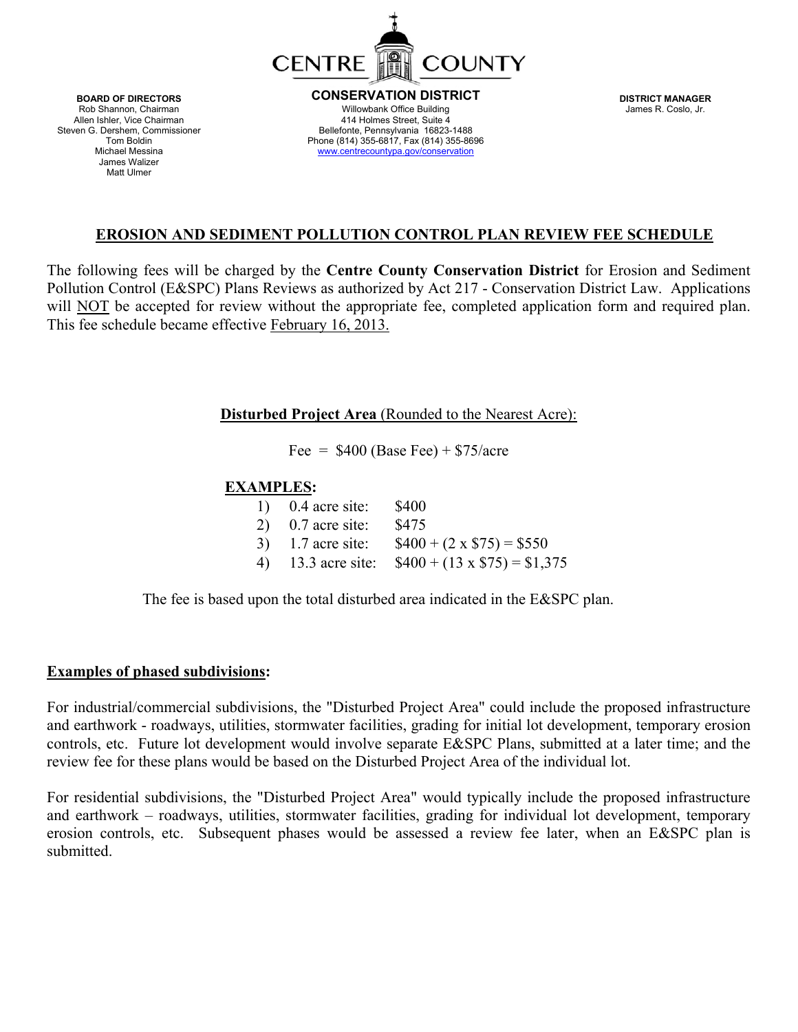

Allen Ishler, Vice Chairman James Walizer Matt Ulmer

**BOARD OF DIRECTORS CONSERVATION DISTRICT DISTRICT MANAGER** Willowbank Office Building<br>414 Holmes Street, Suite 4 Steven G. Dershem, Commissioner and Bellefonte, Pennsylvania 16823-1488<br>Tom Boldin Burger Bellefonte (814) 355-6817, Fax (814) 355-86 Tom Boldin Phone (814) 355-6817, Fax (814) 355-8696<br>Michael Messina Phone (814) 355-6817, Fax (814) 355-8696 www.centrecountypa.gov/conservation

## **EROSION AND SEDIMENT POLLUTION CONTROL PLAN REVIEW FEE SCHEDULE**

The following fees will be charged by the **Centre County Conservation District** for Erosion and Sediment Pollution Control (E&SPC) Plans Reviews as authorized by Act 217 - Conservation District Law. Applications will NOT be accepted for review without the appropriate fee, completed application form and required plan. This fee schedule became effective February 16, 2013.

### **Disturbed Project Area** (Rounded to the Nearest Acre):

Fee =  $$400$  (Base Fee) +  $$75/acre$ 

# **EXAMPLES:**

| 1) $0.4$ acre site: | \$400                                                |
|---------------------|------------------------------------------------------|
| 2) $0.7$ acre site: | \$475                                                |
| $3)$ 1.7 acre site: | $$400 + (2 \times $75) = $550$                       |
|                     | 4) 13.3 acre site: $$400 + (13 \times $75) = $1,375$ |

The fee is based upon the total disturbed area indicated in the E&SPC plan.

### **Examples of phased subdivisions:**

For industrial/commercial subdivisions, the "Disturbed Project Area" could include the proposed infrastructure and earthwork - roadways, utilities, stormwater facilities, grading for initial lot development, temporary erosion controls, etc. Future lot development would involve separate E&SPC Plans, submitted at a later time; and the review fee for these plans would be based on the Disturbed Project Area of the individual lot.

For residential subdivisions, the "Disturbed Project Area" would typically include the proposed infrastructure and earthwork – roadways, utilities, stormwater facilities, grading for individual lot development, temporary erosion controls, etc. Subsequent phases would be assessed a review fee later, when an E&SPC plan is submitted.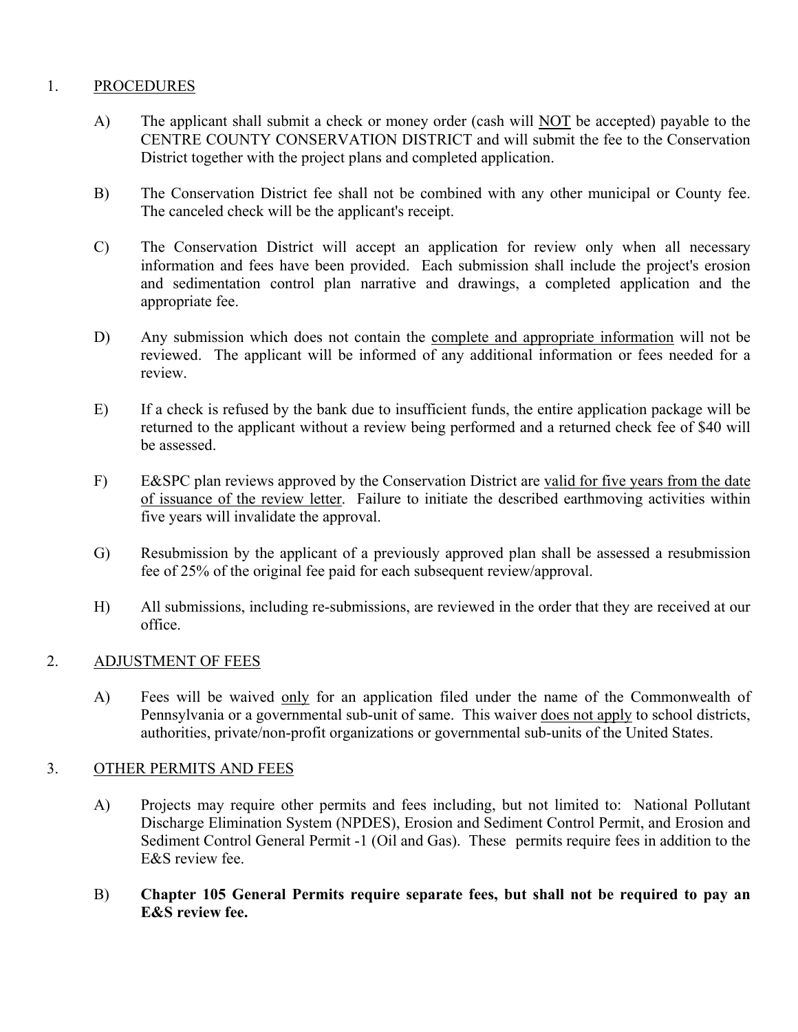# 1. PROCEDURES

- A) The applicant shall submit a check or money order (cash will NOT be accepted) payable to the CENTRE COUNTY CONSERVATION DISTRICT and will submit the fee to the Conservation District together with the project plans and completed application.
- B) The Conservation District fee shall not be combined with any other municipal or County fee. The canceled check will be the applicant's receipt.
- C) The Conservation District will accept an application for review only when all necessary information and fees have been provided. Each submission shall include the project's erosion and sedimentation control plan narrative and drawings, a completed application and the appropriate fee.
- D) Any submission which does not contain the complete and appropriate information will not be reviewed. The applicant will be informed of any additional information or fees needed for a review.
- E) If a check is refused by the bank due to insufficient funds, the entire application package will be returned to the applicant without a review being performed and a returned check fee of \$40 will be assessed.
- F) E&SPC plan reviews approved by the Conservation District are valid for five years from the date of issuance of the review letter. Failure to initiate the described earthmoving activities within five years will invalidate the approval.
- G) Resubmission by the applicant of a previously approved plan shall be assessed a resubmission fee of 25% of the original fee paid for each subsequent review/approval.
- H) All submissions, including re-submissions, are reviewed in the order that they are received at our office.

# 2. ADJUSTMENT OF FEES

 A) Fees will be waived only for an application filed under the name of the Commonwealth of Pennsylvania or a governmental sub-unit of same. This waiver does not apply to school districts, authorities, private/non-profit organizations or governmental sub-units of the United States.

# 3. OTHER PERMITS AND FEES

- A) Projects may require other permits and fees including, but not limited to: National Pollutant Discharge Elimination System (NPDES), Erosion and Sediment Control Permit, and Erosion and Sediment Control General Permit -1 (Oil and Gas). These permits require fees in addition to the E&S review fee.
- B) **Chapter 105 General Permits require separate fees, but shall not be required to pay an E&S review fee.**